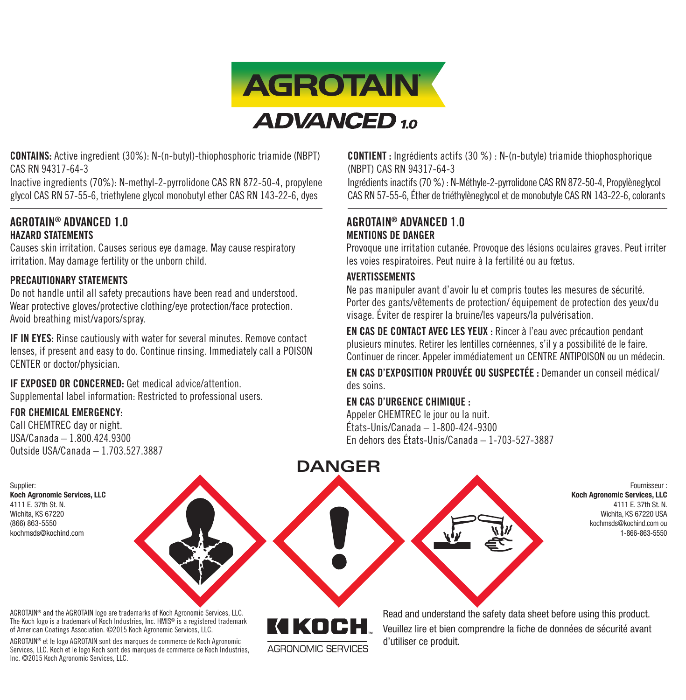

CONTAINS: Active ingredient (30%): N-(n-butyl)-thiophosphoric triamide (NBPT) CAS RN 94317-64-3

Inactive ingredients (70%): N-methyl-2-pyrrolidone CAS RN 872-50-4, propylene glycol CAS RN 57-55-6, triethylene glycol monobutyl ether CAS RN 143-22-6, dyes

## AGROTAIN® ADVANCED 1 0 HAZARD STATEMENTS

Causes skin irritation. Causes serious eye damage. May cause respiratory irritation. May damage fertility or the unborn child.

## PRECAUTIONARY STATEMENTS

Do not handle until all safety precautions have been read and understood. Wear protective gloves/protective clothing/eye protection/face protection. Avoid breathing mist/vapors/spray.

IF IN EYES: Rinse cautiously with water for several minutes. Remove contact lenses, if present and easy to do. Continue rinsing. Immediately call a POISON CENTER or doctor/physician.

#### IF EXPOSED OR CONCERNED: Get medical advice/attention. Supplemental label information: Restricted to professional users.

## FOR CHEMICAL EMERGENCY:

Supplier:

4111 E. 37th St. N. Wichita, KS 67220 (866) 863-5550

Call CHEMTREC day or night. USA/Canada – 1.800.424.9300 Outside USA/Canada – 1.703.527.3887 CONTIENT : Ingrédients actifs (30 %) : N-(n-butyle) triamide thiophosphorique (NBPT) CAS RN 94317-64-3

Ingrédients inactifs (70 %) : N-Méthyle-2-pyrrolidone CAS RN 872-50-4, Propylèneglycol CAS RN 57-55-6, Éther de triéthylèneglycol et de monobutyle CAS RN 143-22-6, colorants

## AGROTAIN® ADVANCED 1 0 MENTIONS DE DANGER

Provoque une irritation cutanée. Provoque des lésions oculaires graves. Peut irriter les voies respiratoires. Peut nuire à la fertilité ou au fœtus.

## AVERTISSEMENTS

Ne pas manipuler avant d'avoir lu et compris toutes les mesures de sécurité. Porter des gants/vêtements de protection/ équipement de protection des yeux/du visage. Éviter de respirer la bruine/les vapeurs/la pulvérisation.

EN CAS DE CONTACT AVEC LES YEUX : Rincer à l'eau avec précaution pendant plusieurs minutes. Retirer les lentilles cornéennes, s'il y a possibilité de le faire. Continuer de rincer. Appeler immédiatement un CENTRE ANTIPOISON ou un médecin.

EN CAS D'EXPOSITION PROUVÉE OU SUSPECTÉE : Demander un conseil médical/ des soins.

## EN CAS D'URGENCE CHIMIQUE :

Appeler CHEMTREC le jour ou la nuit. États-Unis/Canada – 1-800-424-9300 En dehors des États-Unis/Canada – 1-703-527-3887

Koch Agronomic Services, LLC kochmsds@kochind.com

> KIKOCH AGRONOMIC SERVICES

Fournisseur : Koch Agronomic Services, LLC 4111 E. 37th St. N. Wichita, KS 67220 USA kochmsds@kochind.com ou 1-866-863-5550

AGROTAIN® and the AGROTAIN logo are trademarks of Koch Agronomic Services, LLC. The Koch logo is a trademark of Koch Industries, Inc. HMIS® is a registered trademark of American Coatings Association. ©2015 Koch Agronomic Services, LLC.

AGROTAIN® et le logo AGROTAIN sont des marques de commerce de Koch Agronomic Services, LLC. Koch et le logo Koch sont des marques de commerce de Koch Industries, Inc. ©2015 Koch Agronomic Services, LLC.

Read and understand the safety data sheet before using this product. Veuillez lire et bien comprendre la fiche de données de sécurité avant d'utiliser ce produit.

## **DANGER**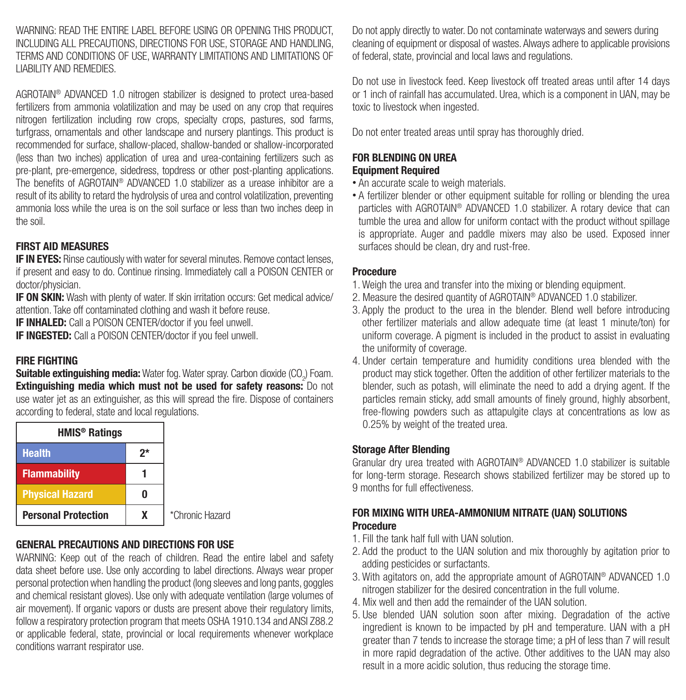WARNING: READ THE ENTIRE LABEL BEFORE LISING OR OPENING THIS PRODUCT INCLUDING ALL PRECAUTIONS, DIRECTIONS FOR USE, STORAGE AND HANDLING, TERMS AND CONDITIONS OF USE, WARRANTY LIMITATIONS AND LIMITATIONS OF LIABILITY AND REMEDIES.

AGROTAIN® ADVANCED 1.0 nitrogen stabilizer is designed to protect urea-based fertilizers from ammonia volatilization and may be used on any crop that requires nitrogen fertilization including row crops, specialty crops, pastures, sod farms, turfgrass, ornamentals and other landscape and nursery plantings. This product is recommended for surface, shallow-placed, shallow-banded or shallow-incorporated (less than two inches) application of urea and urea-containing fertilizers such as pre-plant, pre-emergence, sidedress, topdress or other post-planting applications. The benefits of AGROTAIN® ADVANCED 1.0 stabilizer as a urease inhibitor are a result of its ability to retard the hydrolysis of urea and control volatilization, preventing ammonia loss while the urea is on the soil surface or less than two inches deep in the soil.

## FIRST AID MEASURES

**IF IN EYES:** Rinse cautiously with water for several minutes. Remove contact lenses, if present and easy to do. Continue rinsing. Immediately call a POISON CENTER or doctor/physician.

IF ON SKIN: Wash with plenty of water. If skin irritation occurs: Get medical advice/ attention. Take off contaminated clothing and wash it before reuse.

IF INHALED: Call a POISON CENTER/doctor if you feel unwell.

**IF INGESTED:** Call a POISON CENTER/doctor if you feel unwell.

## FIRE FIGHTING

Suitable extinguishing media: Water fog. Water spray. Carbon dioxide (CO<sub>2</sub>) Foam. Extinguishing media which must not be used for safety reasons: Do not use water jet as an extinguisher, as this will spread the fire. Dispose of containers according to federal, state and local regulations.

| <b>HMIS<sup>®</sup> Ratings</b> |    |                 |
|---------------------------------|----|-----------------|
| <b>Health</b>                   | 2* |                 |
| <b>Flammability</b>             |    |                 |
| <b>Physical Hazard</b>          |    |                 |
| <b>Personal Protection</b>      |    | *Chronic Hazard |

## GENERAL PRECAUTIONS AND DIRECTIONS FOR USE

WARNING: Keep out of the reach of children. Read the entire label and safety data sheet before use. Use only according to label directions. Always wear proper personal protection when handling the product (long sleeves and long pants, goggles and chemical resistant gloves). Use only with adequate ventilation (large volumes of air movement). If organic vapors or dusts are present above their regulatory limits, follow a respiratory protection program that meets OSHA 1910.134 and ANSI Z88.2 or applicable federal, state, provincial or local requirements whenever workplace conditions warrant respirator use.

Do not apply directly to water. Do not contaminate waterways and sewers during cleaning of equipment or disposal of wastes. Always adhere to applicable provisions of federal, state, provincial and local laws and regulations.

Do not use in livestock feed. Keep livestock off treated areas until after 14 days or 1 inch of rainfall has accumulated. Urea, which is a component in UAN, may be toxic to livestock when ingested.

Do not enter treated areas until spray has thoroughly dried.

#### FOR BLENDING ON UREA Equipment Required

- An accurate scale to weigh materials.
- A fertilizer blender or other equipment suitable for rolling or blending the urea particles with AGROTAIN® ADVANCED 1.0 stabilizer. A rotary device that can tumble the urea and allow for uniform contact with the product without spillage is appropriate. Auger and paddle mixers may also be used. Exposed inner surfaces should be clean, dry and rust-free.

## Procedure

- 1. Weigh the urea and transfer into the mixing or blending equipment.
- 2. Measure the desired quantity of AGROTAIN® ADVANCED 1.0 stabilizer.
- 3. Apply the product to the urea in the blender. Blend well before introducing other fertilizer materials and allow adequate time (at least 1 minute/ton) for uniform coverage. A pigment is included in the product to assist in evaluating the uniformity of coverage.
- 4. Under certain temperature and humidity conditions urea blended with the product may stick together. Often the addition of other fertilizer materials to the blender, such as potash, will eliminate the need to add a drying agent. If the particles remain sticky, add small amounts of finely ground, highly absorbent, free-flowing powders such as attapulgite clays at concentrations as low as 0.25% by weight of the treated urea.

## Storage After Blending

Granular dry urea treated with AGROTAIN® ADVANCED 1.0 stabilizer is suitable for long-term storage. Research shows stabilized fertilizer may be stored up to 9 months for full effectiveness.

## FOR MIXING WITH UREA-AMMONIUM NITRATE (UAN) SOLUTIONS **Procedure**

- 1. Fill the tank half full with UAN solution.
- 2. Add the product to the UAN solution and mix thoroughly by agitation prior to adding pesticides or surfactants.
- 3. With agitators on, add the appropriate amount of AGROTAIN® ADVANCED 1.0 nitrogen stabilizer for the desired concentration in the full volume.
- 4. Mix well and then add the remainder of the UAN solution.
- 5. Use blended UAN solution soon after mixing. Degradation of the active ingredient is known to be impacted by pH and temperature. UAN with a pH greater than 7 tends to increase the storage time; a pH of less than 7 will result in more rapid degradation of the active. Other additives to the UAN may also result in a more acidic solution, thus reducing the storage time.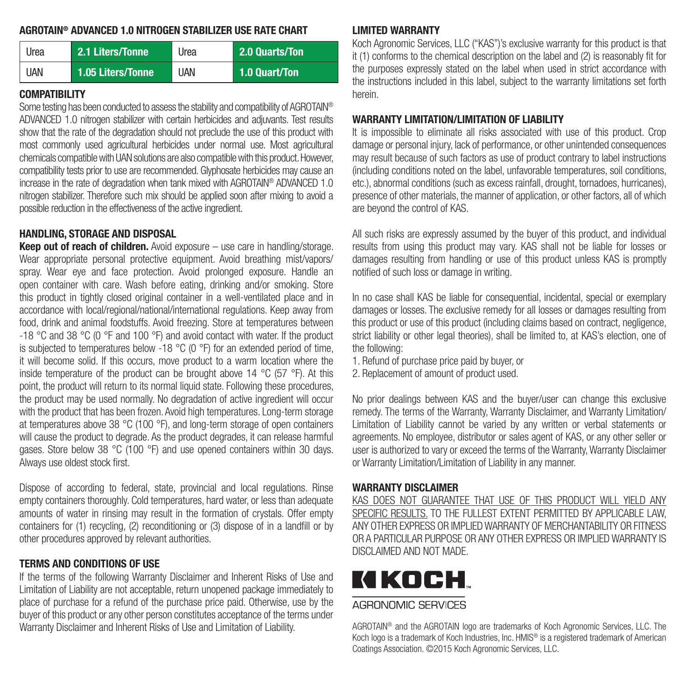## AGROTAIN® ADVANCED 1.0 NITROGEN STABILIZER USE RATE CHART

| Urea       | 2.1 Liters/Tonne  | Urea       | 2.0 Quarts/Ton |
|------------|-------------------|------------|----------------|
| <b>UAN</b> | 1.05 Liters/Tonne | <b>UAN</b> | 1.0 Quart/Ton  |

## COMPATIBILITY

Some testing has been conducted to assess the stability and compatibility of AGROTAIN® ADVANCED 1.0 nitrogen stabilizer with certain herbicides and adjuvants. Test results show that the rate of the degradation should not preclude the use of this product with most commonly used agricultural herbicides under normal use. Most agricultural chemicals compatible with UAN solutions are also compatible with this product. However, compatibility tests prior to use are recommended. Glyphosate herbicides may cause an increase in the rate of degradation when tank mixed with AGROTAIN® ADVANCED 1.0 nitrogen stabilizer. Therefore such mix should be applied soon after mixing to avoid a possible reduction in the effectiveness of the active ingredient.

## HANDLING, STORAGE AND DISPOSAL

**Keep out of reach of children.** Avoid exposure  $-$  use care in handling/storage. Wear appropriate personal protective equipment. Avoid breathing mist/vapors/ spray. Wear eye and face protection. Avoid prolonged exposure. Handle an open container with care. Wash before eating, drinking and/or smoking. Store this product in tightly closed original container in a well-ventilated place and in accordance with local/regional/national/international regulations. Keep away from food, drink and animal foodstuffs. Avoid freezing. Store at temperatures between -18 °C and 38 °C (0 °F and 100 °F) and avoid contact with water. If the product is subjected to temperatures below -18  $^{\circ}$ C (0  $^{\circ}$ F) for an extended period of time, it will become solid. If this occurs, move product to a warm location where the inside temperature of the product can be brought above 14 °C (57 °F). At this point, the product will return to its normal liquid state. Following these procedures, the product may be used normally. No degradation of active ingredient will occur with the product that has been frozen. Avoid high temperatures. Long-term storage at temperatures above 38 °C (100 °F), and long-term storage of open containers will cause the product to degrade. As the product degrades, it can release harmful gases. Store below 38 °C (100 °F) and use opened containers within 30 days. Always use oldest stock first.

Dispose of according to federal, state, provincial and local regulations. Rinse empty containers thoroughly. Cold temperatures, hard water, or less than adequate amounts of water in rinsing may result in the formation of crystals. Offer empty containers for (1) recycling, (2) reconditioning or (3) dispose of in a landfill or by other procedures approved by relevant authorities.

## TERMS AND CONDITIONS OF USE

If the terms of the following Warranty Disclaimer and Inherent Risks of Use and Limitation of Liability are not acceptable, return unopened package immediately to place of purchase for a refund of the purchase price paid. Otherwise, use by the buyer of this product or any other person constitutes acceptance of the terms under Warranty Disclaimer and Inherent Risks of Use and Limitation of Liability.

## LIMITED WARRANTY

Koch Agronomic Services, LLC ("KAS")'s exclusive warranty for this product is that it (1) conforms to the chemical description on the label and (2) is reasonably fit for the purposes expressly stated on the label when used in strict accordance with the instructions included in this label, subject to the warranty limitations set forth herein.

## WARRANTY LIMITATION/LIMITATION OF LIABILITY

It is impossible to eliminate all risks associated with use of this product. Crop damage or personal injury, lack of performance, or other unintended consequences may result because of such factors as use of product contrary to label instructions (including conditions noted on the label, unfavorable temperatures, soil conditions, etc.), abnormal conditions (such as excess rainfall, drought, tornadoes, hurricanes), presence of other materials, the manner of application, or other factors, all of which are beyond the control of KAS.

All such risks are expressly assumed by the buyer of this product, and individual results from using this product may vary. KAS shall not be liable for losses or damages resulting from handling or use of this product unless KAS is promptly notified of such loss or damage in writing.

In no case shall KAS be liable for consequential, incidental, special or exemplary damages or losses. The exclusive remedy for all losses or damages resulting from this product or use of this product (including claims based on contract, negligence, strict liability or other legal theories), shall be limited to, at KAS's election, one of the following:

1. Refund of purchase price paid by buyer, or

2. Replacement of amount of product used.

No prior dealings between KAS and the buyer/user can change this exclusive remedy. The terms of the Warranty, Warranty Disclaimer, and Warranty Limitation/ Limitation of Liability cannot be varied by any written or verbal statements or agreements. No employee, distributor or sales agent of KAS, or any other seller or user is authorized to vary or exceed the terms of the Warranty, Warranty Disclaimer or Warranty Limitation/Limitation of Liability in any manner.

## WARRANTY DISCLAIMER

KAS DOES NOT GUARANTEE THAT USE OF THIS PRODUCT WILL YIELD ANY SPECIFIC RESULTS. TO THE FULLEST EXTENT PERMITTED BY APPLICABLE LAW. ANY OTHER EXPRESS OR IMPLIED WARRANTY OF MERCHANTABILITY OR FITNESS OR A PARTICULAR PURPOSE OR ANY OTHER EXPRESS OR IMPLIED WARRANTY IS DISCLAIMED AND NOT MADE.

# KIKOCH

## **AGRONOMIC SERVICES**

AGROTAIN® and the AGROTAIN logo are trademarks of Koch Agronomic Services, LLC. The Koch logo is a trademark of Koch Industries, Inc. HMIS® is a registered trademark of American Coatings Association. ©2015 Koch Agronomic Services, LLC.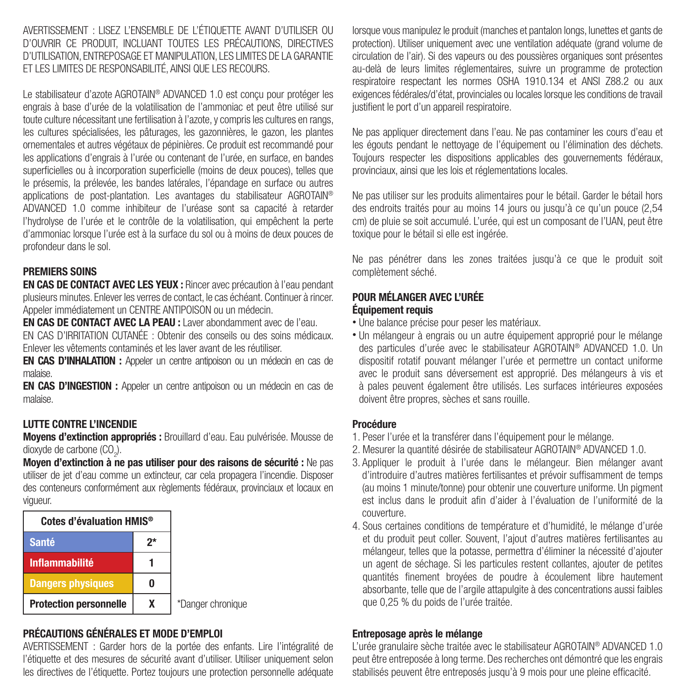AVERTISSEMENT : LISEZ L'ENSEMBLE DE L'ÉTIQUETTE AVANT D'UTILISER OU D'OUVRIR CE PRODUIT, INCLUANT TOUTES LES PRÉCAUTIONS, DIRECTIVES D'UTILISATION, ENTREPOSAGE ET MANIPULATION, LES LIMITES DE LA GARANTIE ET LES LIMITES DE RESPONSABILITÉ, AINSI QUE LES RECOURS.

Le stabilisateur d'azote AGROTAIN® ADVANCED 1.0 est conçu pour protéger les engrais à base d'urée de la volatilisation de l'ammoniac et peut être utilisé sur toute culture nécessitant une fertilisation à l'azote, y compris les cultures en rangs, les cultures spécialisées, les pâturages, les gazonnières, le gazon, les plantes ornementales et autres végétaux de pépinières. Ce produit est recommandé pour les applications d'engrais à l'urée ou contenant de l'urée, en surface, en bandes superficielles ou à incorporation superficielle (moins de deux pouces), telles que le présemis, la prélevée, les bandes latérales, l'épandage en surface ou autres applications de post-plantation. Les avantages du stabilisateur AGROTAIN® ADVANCED 1.0 comme inhibiteur de l'uréase sont sa capacité à retarder l'hydrolyse de l'urée et le contrôle de la volatilisation, qui empêchent la perte d'ammoniac lorsque l'urée est à la surface du sol ou à moins de deux pouces de profondeur dans le sol.

## PREMIERS SOINS

EN CAS DE CONTACT AVEC LES YEUX : Rincer avec précaution à l'eau pendant plusieurs minutes. Enlever les verres de contact, le cas échéant. Continuer à rincer. Appeler immédiatement un CENTRE ANTIPOISON ou un médecin.

EN CAS DE CONTACT AVEC LA PEAU : Laver abondamment avec de l'eau.

EN CAS D'IRRITATION CUTANÉE : Obtenir des conseils ou des soins médicaux. Enlever les vêtements contaminés et les laver avant de les réutiliser.

EN CAS D'INHALATION : Appeler un centre antipoison ou un médecin en cas de malaise.

EN CAS D'INGESTION : Appeler un centre antipoison ou un médecin en cas de malaise.

#### LUTTE CONTRE L'INCENDIE

Moyens d'extinction appropriés : Brouillard d'eau. Eau pulvérisée. Mousse de dioxyde de carbone  $({\rm CO}_2)$ .

Moyen d'extinction à ne pas utiliser pour des raisons de sécurité : Ne pas utiliser de jet d'eau comme un extincteur, car cela propagera l'incendie. Disposer des conteneurs conformément aux règlements fédéraux, provinciaux et locaux en vigueur.

| Cotes d'évaluation HMIS <sup>®</sup> |    |         |
|--------------------------------------|----|---------|
| <b>Santé</b>                         | 2* |         |
| <b>Inflammabilité</b>                |    |         |
| <b>Dangers physiques</b>             |    |         |
| <b>Protection personnelle</b>        |    | *Danger |

#### chronique

## PRÉCAUTIONS GÉNÉRALES ET MODE D'EMPLOI

AVERTISSEMENT : Garder hors de la portée des enfants. Lire l'intégralité de l'étiquette et des mesures de sécurité avant d'utiliser. Utiliser uniquement selon les directives de l'étiquette. Portez toujours une protection personnelle adéquate lorsque vous manipulez le produit (manches et pantalon longs, lunettes et gants de protection). Utiliser uniquement avec une ventilation adéquate (grand volume de circulation de l'air). Si des vapeurs ou des poussières organiques sont présentes au-delà de leurs limites réglementaires, suivre un programme de protection respiratoire respectant les normes OSHA 1910.134 et ANSI Z88.2 ou aux exigences fédérales/d'état, provinciales ou locales lorsque les conditions de travail justifient le port d'un appareil respiratoire.

Ne pas appliquer directement dans l'eau. Ne pas contaminer les cours d'eau et les égouts pendant le nettoyage de l'équipement ou l'élimination des déchets. Toujours respecter les dispositions applicables des gouvernements fédéraux, provinciaux, ainsi que les lois et réglementations locales.

Ne pas utiliser sur les produits alimentaires pour le bétail. Garder le bétail hors des endroits traités pour au moins 14 jours ou jusqu'à ce qu'un pouce (2,54 cm) de pluie se soit accumulé. L'urée, qui est un composant de l'UAN, peut être toxique pour le bétail si elle est ingérée.

Ne pas pénétrer dans les zones traitées jusqu'à ce que le produit soit complètement séché.

#### POUR MÉLANGER AVEC L'URÉE Équipement requis

- Une balance précise pour peser les matériaux.
- Un mélangeur à engrais ou un autre équipement approprié pour le mélange des particules d'urée avec le stabilisateur AGROTAIN® ADVANCED 1.0. Un dispositif rotatif pouvant mélanger l'urée et permettre un contact uniforme avec le produit sans déversement est approprié. Des mélangeurs à vis et à pales peuvent également être utilisés. Les surfaces intérieures exposées doivent être propres, sèches et sans rouille.

#### Procédure

- 1. Peser l'urée et la transférer dans l'équipement pour le mélange.
- 2. Mesurer la quantité désirée de stabilisateur AGROTAIN® ADVANCED 1.0.
- 3. Appliquer le produit à l'urée dans le mélangeur. Bien mélanger avant d'introduire d'autres matières fertilisantes et prévoir suffisamment de temps (au moins 1 minute/tonne) pour obtenir une couverture uniforme. Un pigment est inclus dans le produit afin d'aider à l'évaluation de l'uniformité de la couverture.
- 4. Sous certaines conditions de température et d'humidité, le mélange d'urée et du produit peut coller. Souvent, l'ajout d'autres matières fertilisantes au mélangeur, telles que la potasse, permettra d'éliminer la nécessité d'ajouter un agent de séchage. Si les particules restent collantes, ajouter de petites quantités finement broyées de poudre à écoulement libre hautement absorbante, telle que de l'argile attapulgite à des concentrations aussi faibles que 0,25 % du poids de l'urée traitée.

#### Entreposage après le mélange

L'urée granulaire sèche traitée avec le stabilisateur AGROTAIN® ADVANCED 1.0 peut être entreposée à long terme. Des recherches ont démontré que les engrais stabilisés peuvent être entreposés jusqu'à 9 mois pour une pleine efficacité.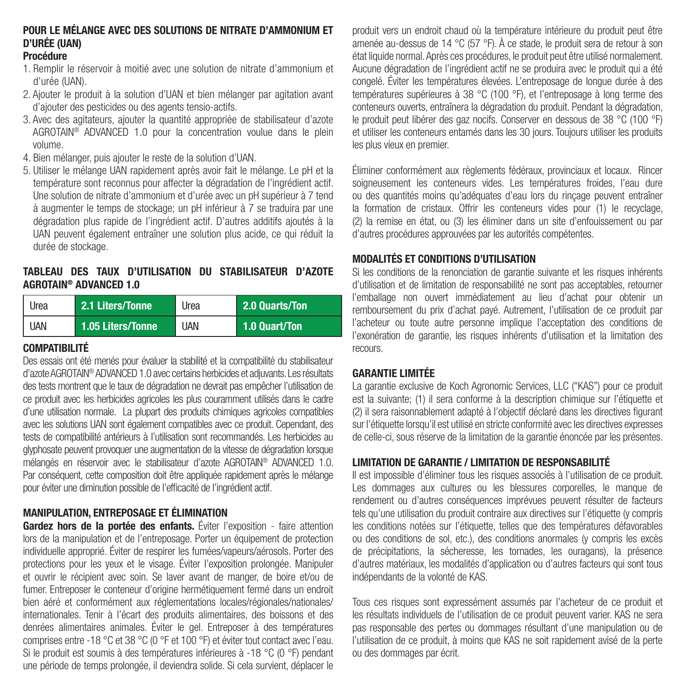## POUR LE MÉLANGE AVEC DES SOLUTIONS DE NITRATE D'AMMONIUM ET D'URÉE (UAN)

## Procédure

- 1. Remplir le réservoir à moitié avec une solution de nitrate d'ammonium et d'urée (UAN).
- 2. Ajouter le produit à la solution d'UAN et bien mélanger par agitation avant d'ajouter des pesticides ou des agents tensio-actifs.
- 3. Avec des agitateurs, ajouter la quantité appropriée de stabilisateur d'azote AGROTAIN® ADVANCED 1.0 pour la concentration voulue dans le plein volume.
- 4. Bien mélanger, puis ajouter le reste de la solution d'UAN.
- 5. Utiliser le mélange UAN rapidement après avoir fait le mélange. Le pH et la température sont reconnus pour affecter la dégradation de l'ingrédient actif. Une solution de nitrate d'ammonium et d'urée avec un pH supérieur à 7 tend à augmenter le temps de stockage; un pH inférieur à 7 se traduira par une dégradation plus rapide de l'ingrédient actif. D'autres additifs ajoutés à la UAN peuvent également entraîner une solution plus acide, ce qui réduit la durée de stockage.

#### TABLEAU DES TAUX D'UTILISATION DU STABILISATEUR D'AZOTE AGROTAIN® ADVANCED 1.0

| Urea       | 2.1 Liters/Tonne  | Urea | 2.0 Quarts/Ton |
|------------|-------------------|------|----------------|
| <b>UAN</b> | 1.05 Liters/Tonne | UAN  | 1.0 Quart/Ton  |

## COMPATIBILITÉ

Des essais ont été menés pour évaluer la stabilité et la compatibilité du stabilisateur d'azote AGROTAIN® ADVANCED 1.0 avec certains herbicides et adjuvants. Les résultats des tests montrent que le taux de dégradation ne devrait pas empêcher l'utilisation de ce produit avec les herbicides agricoles les plus couramment utilisés dans le cadre d'une utilisation normale. La plupart des produits chimiques agricoles compatibles avec les solutions UAN sont également compatibles avec ce produit. Cependant, des tests de compatibilité antérieurs à l'utilisation sont recommandés. Les herbicides au glyphosate peuvent provoquer une augmentation de la vitesse de dégradation lorsque mélangés en réservoir avec le stabilisateur d'azote AGROTAIN® ADVANCED 1.0. Par conséquent, cette composition doit être appliquée rapidement après le mélange pour éviter une diminution possible de l'efficacité de l'ingrédient actif.

## MANIPULATION, ENTREPOSAGE ET ÉLIMINATION

Gardez hors de la portée des enfants. Éviter l'exposition - faire attention lors de la manipulation et de l'entreposage. Porter un équipement de protection individuelle approprié. Éviter de respirer les fumées/vapeurs/aérosols. Porter des protections pour les yeux et le visage. Éviter l'exposition prolongée. Manipuler et ouvrir le récipient avec soin. Se laver avant de manger, de boire et/ou de fumer. Entreposer le conteneur d'origine hermétiquement fermé dans un endroit bien aéré et conformément aux réglementations locales/régionales/nationales/ internationales. Tenir à l'écart des produits alimentaires, des boissons et des denrées alimentaires animales. Éviter le gel. Entreposer à des températures comprises entre -18 °C et 38 °C (0 °F et 100 °F) et éviter tout contact avec l'eau. Si le produit est soumis à des températures inférieures à -18 °C (0 °F) pendant une période de temps prolongée, il deviendra solide. Si cela survient, déplacer le

produit vers un endroit chaud où la température intérieure du produit peut être amenée au-dessus de 14 °C (57 °F). À ce stade, le produit sera de retour à son état liquide normal. Après ces procédures, le produit peut être utilisé normalement. Aucune dégradation de l'ingrédient actif ne se produira avec le produit qui a été congelé. Éviter les températures élevées. L'entreposage de longue durée à des températures supérieures à 38 °C (100 °F), et l'entreposage à long terme des conteneurs ouverts, entraînera la dégradation du produit. Pendant la dégradation, le produit peut libérer des gaz nocifs. Conserver en dessous de 38 °C (100 °F) et utiliser les conteneurs entamés dans les 30 jours. Toujours utiliser les produits les plus vieux en premier.

Éliminer conformément aux règlements fédéraux, provinciaux et locaux. Rincer soigneusement les conteneurs vides. Les températures froides, l'eau dure ou des quantités moins qu'adéquates d'eau lors du rinçage peuvent entraîner la formation de cristaux. Offrir les conteneurs vides pour (1) le recyclage, (2) la remise en état, ou (3) les éliminer dans un site d'enfouissement ou par d'autres procédures approuvées par les autorités compétentes.

## MODALITÉS ET CONDITIONS D'UTILISATION

Si les conditions de la renonciation de garantie suivante et les risques inhérents d'utilisation et de limitation de responsabilité ne sont pas acceptables, retourner l'emballage non ouvert immédiatement au lieu d'achat pour obtenir un remboursement du prix d'achat payé. Autrement, l'utilisation de ce produit par l'acheteur ou toute autre personne implique l'acceptation des conditions de l'exonération de garantie, les risques inhérents d'utilisation et la limitation des recours.

## GARANTIE LIMITÉE

La garantie exclusive de Koch Agronomic Services, LLC ("KAS") pour ce produit est la suivante; (1) il sera conforme à la description chimique sur l'étiquette et (2) il sera raisonnablement adapté à l'objectif déclaré dans les directives figurant sur l'étiquette lorsqu'il est utilisé en stricte conformité avec les directives expresses de celle-ci, sous réserve de la limitation de la garantie énoncée par les présentes.

## LIMITATION DE GARANTIE / LIMITATION DE RESPONSABILITÉ

Il est impossible d'éliminer tous les risques associés à l'utilisation de ce produit. Les dommages aux cultures ou les blessures corporelles, le manque de rendement ou d'autres conséquences imprévues peuvent résulter de facteurs tels qu'une utilisation du produit contraire aux directives sur l'étiquette (y compris les conditions notées sur l'étiquette, telles que des températures défavorables ou des conditions de sol, etc.), des conditions anormales (y compris les excès de précipitations, la sécheresse, les tornades, les ouragans), la présence d'autres matériaux, les modalités d'application ou d'autres facteurs qui sont tous indépendants de la volonté de KAS.

Tous ces risques sont expressément assumés par l'acheteur de ce produit et les résultats individuels de l'utilisation de ce produit peuvent varier. KAS ne sera pas responsable des pertes ou dommages résultant d'une manipulation ou de l'utilisation de ce produit, à moins que KAS ne soit rapidement avisé de la perte ou des dommages par écrit.